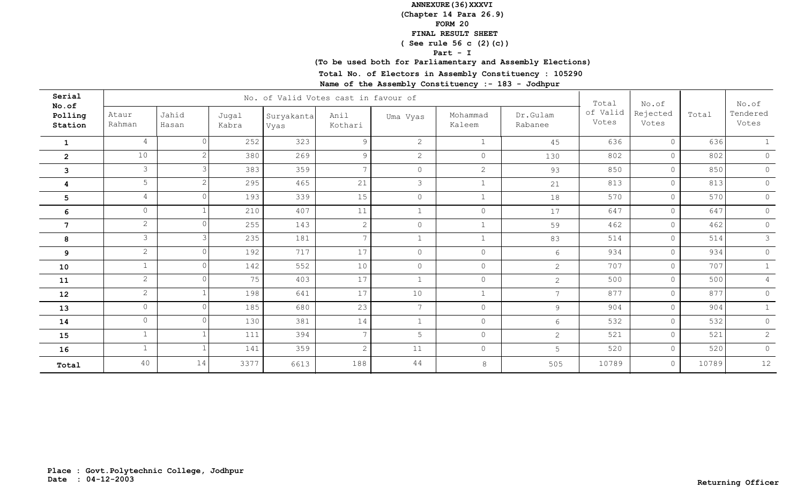### **(Chapter 14 Para 26.9)**

#### **FORM 20**

### **FINAL RESULT SHEET**

# **( See rule 56 c (2)(c))**

**Part - I**

# **(To be used both for Parliamentary and Assembly Elections)**

**Total No. of Electors in Assembly Constituency : 105290**

| Serial<br>No.of    |                 |                |                | No. of Valid Votes cast in favour of |                 |                |                    |                     | Total             | No.of<br>Rejected<br>Votes |       | No.of             |
|--------------------|-----------------|----------------|----------------|--------------------------------------|-----------------|----------------|--------------------|---------------------|-------------------|----------------------------|-------|-------------------|
| Polling<br>Station | Ataur<br>Rahman | Jahid<br>Hasan | Jugal<br>Kabra | Suryakanta<br>Vyas                   | Anil<br>Kothari | Uma Vyas       | Mohammad<br>Kaleem | Dr.Gulam<br>Rabanee | of Valid<br>Votes |                            | Total | Tendered<br>Votes |
| 1                  | 4               |                | 252            | 323                                  | 9               | 2              | $\mathbf{1}$       | 45                  | 636               | $\circ$                    | 636   |                   |
| $\overline{2}$     | $10$            |                | 380            | 269                                  | 9               | 2              | $\circ$            | 130                 | 802               | $\circ$                    | 802   | $\Omega$          |
| 3                  | $\mathcal{S}$   |                | 383            | 359                                  | $7\overline{ }$ | $\circ$        | $\overline{2}$     | 93                  | 850               | $\circ$                    | 850   | $\circ$           |
| 4                  | 5 <sup>5</sup>  |                | 295            | 465                                  | 21              | 3              | $\mathbf{1}$       | 21                  | 813               | $\circ$                    | 813   | $\circ$           |
| 5                  | $4\overline{ }$ |                | 193            | 339                                  | 15              | $\overline{0}$ | $\mathbf{1}$       | 18                  | 570               | $\circ$                    | 570   | $\circ$           |
| 6                  | $\circ$         |                | 210            | 407                                  | 11              | $\mathbf{1}$   | $\circledcirc$     | 17                  | 647               | $\circ$                    | 647   | $\circ$           |
| $\overline{7}$     | $\overline{2}$  |                | 255            | 143                                  | $\mathbf{2}$    | $\circ$        | $\mathbf{1}$       | 59                  | 462               | $\circ$                    | 462   | $\circ$           |
| 8                  | $\mathcal{S}$   |                | 235            | 181                                  | $7\overline{ }$ | $\mathbf{1}$   | $\mathbf{1}$       | 83                  | 514               | $\circ$                    | 514   | 3                 |
| 9                  | $\overline{2}$  |                | 192            | 717                                  | 17              | $\circ$        | $\circ$            | 6                   | 934               | $\circ$                    | 934   | $\circ$           |
| 10                 | $\mathbf{1}$    |                | 142            | 552                                  | 10              | $\circ$        | $\circ$            | 2                   | 707               | $\circ$                    | 707   |                   |
| 11                 | $\overline{2}$  |                | 75             | 403                                  | 17              | $\mathbf{1}$   | $\circledcirc$     | $\overline{2}$      | 500               | $\circ$                    | 500   | $\overline{4}$    |
| 12                 | $\overline{2}$  |                | 198            | 641                                  | 17              | 10             | $\mathbf{1}$       | $7\phantom{.0}$     | 877               | $\circ$                    | 877   | $\circ$           |
| 13                 | $\circ$         |                | 185            | 680                                  | 23              | 7              | $\overline{0}$     | $\overline{9}$      | 904               | $\circ$                    | 904   | $\mathbf{1}$      |
| 14                 | $\circ$         |                | 130            | 381                                  | 14              | $\mathbf{1}$   | $\circ$            | $6\overline{6}$     | 532               | $\circ$                    | 532   | $\circ$           |
| 15                 | $\mathbf{1}$    |                | 111            | 394                                  | 7               | 5              | $\circ$            | 2                   | 521               | $\circ$                    | 521   | $\overline{2}$    |
| 16                 | $\mathbf{1}$    |                | 141            | 359                                  | $\overline{2}$  | 11             | $\circ$            | 5                   | 520               | $\circ$                    | 520   | $\circ$           |
| Total              | 40              | 14             | 3377           | 6613                                 | 188             | 44             | 8                  | 505                 | 10789             | $\circ$                    | 10789 | 12                |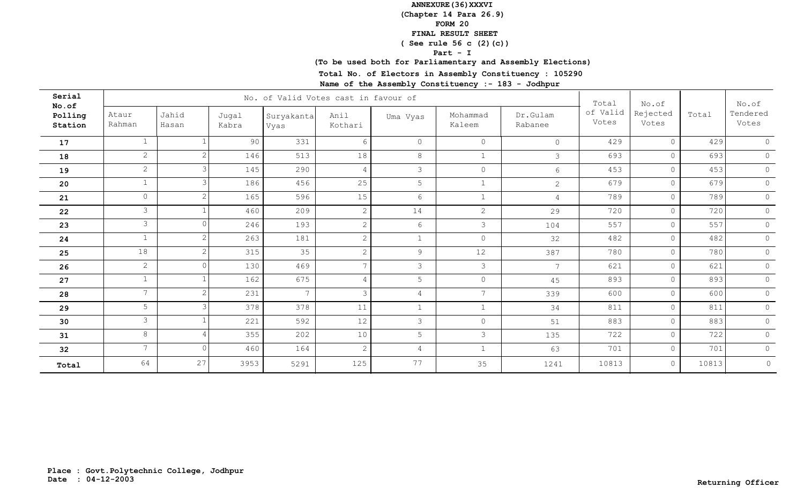### **(Chapter 14 Para 26.9)**

**FORM 20**

### **FINAL RESULT SHEET**

# **( See rule 56 c (2)(c))**

**Part - I**

### **(To be used both for Parliamentary and Assembly Elections)**

**Total No. of Electors in Assembly Constituency : 105290**

| Serial<br>No.of    |                 |                |                | No. of Valid Votes cast in favour of |                 |                 |                    |                     | Total             | No.of<br>Rejected<br>Votes | Total | No.of<br>Tendered<br>Votes |
|--------------------|-----------------|----------------|----------------|--------------------------------------|-----------------|-----------------|--------------------|---------------------|-------------------|----------------------------|-------|----------------------------|
| Polling<br>Station | Ataur<br>Rahman | Jahid<br>Hasan | Jugal<br>Kabra | Suryakanta<br>Vyas                   | Anil<br>Kothari | Uma Vyas        | Mohammad<br>Kaleem | Dr.Gulam<br>Rabanee | of Valid<br>Votes |                            |       |                            |
| 17                 | $\mathbf{1}$    |                | 90             | 331                                  | 6               | $\circ$         | $\circ$            | $\circ$             | 429               | $\circ$                    | 429   | $\Omega$                   |
| 18                 | $\mathbf{2}$    |                | 146            | 513                                  | 18              | $8\,$           | $\mathbf{1}$       | 3                   | 693               | $\circ$                    | 693   | $\circ$                    |
| 19                 | $\overline{2}$  |                | 145            | 290                                  | 4               | $\mathcal{S}$   | $\circ$            | 6                   | 453               | $\circ$                    | 453   | $\circ$                    |
| 20                 | $\mathbf{1}$    |                | 186            | 456                                  | 25              | 5               | $\mathbf 1$        | 2                   | 679               | $\circ$                    | 679   | $\circ$                    |
| 21                 | $\circ$         |                | 165            | 596                                  | 15              | $6\phantom{.}6$ | $\mathbf{1}$       | $\overline{4}$      | 789               | $\circ$                    | 789   | $\circ$                    |
| 22                 | $\mathcal{S}$   |                | 460            | 209                                  | 2               | 14              | $\mathbf{2}$       | 29                  | 720               | $\circ$                    | 720   | $\circ$                    |
| 23                 | $\mathcal{S}$   |                | 246            | 193                                  | 2               | 6               | $\mathcal{S}$      | 104                 | 557               | $\circ$                    | 557   | $\circ$                    |
| 24                 | $\mathbf{1}$    |                | 263            | 181                                  | $\mathbf{2}$    | $\mathbf{1}$    | $\circ$            | 32                  | 482               | $\circ$                    | 482   | $\overline{0}$             |
| 25                 | 18              |                | 315            | 35                                   | $\overline{2}$  | 9               | 12                 | 387                 | 780               | $\circ$                    | 780   | $\circ$                    |
| 26                 | $\mathbf{2}$    |                | 130            | 469                                  | $\overline{7}$  | $\mathcal{S}$   | $\mathcal{E}$      | $7\overline{ }$     | 621               | $\circ$                    | 621   | $\circledcirc$             |
| 27                 | $\mathbf{1}$    |                | 162            | 675                                  | $\overline{4}$  | 5               | $\circledcirc$     | 45                  | 893               | $\circ$                    | 893   | $\circ$                    |
| 28                 | $7\overline{ }$ |                | 231            | $7\phantom{.0}$                      | 3               | 4               | $7^{\circ}$        | 339                 | 600               | $\circ$                    | 600   | $\circ$                    |
| 29                 | 5               |                | 378            | 378                                  | 11              | $\mathbf{1}$    | $\mathbf{1}$       | 34                  | 811               | $\circ$                    | 811   | $\circ$                    |
| 30                 | $\mathcal{S}$   |                | 221            | 592                                  | 12              | $\mathcal{S}$   | $\circ$            | 51                  | 883               | $\circ$                    | 883   | $\circ$                    |
| 31                 | 8               |                | 355            | 202                                  | 10              | 5               | 3                  | 135                 | 722               | $\circ$                    | 722   | $\circ$                    |
| 32                 | $7^{\circ}$     | $\Omega$       | 460            | 164                                  | $\overline{2}$  | $\overline{4}$  | $\mathbf 1$        | 63                  | 701               | $\circledcirc$             | 701   | $\circ$                    |
| Total              | 64              | 27             | 3953           | 5291                                 | 125             | 77              | 35                 | 1241                | 10813             | $\circ$                    | 10813 | $\circ$                    |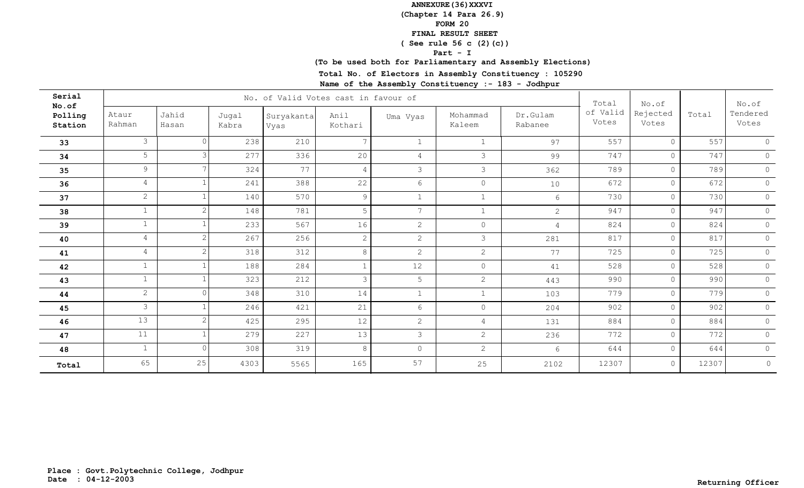### **(Chapter 14 Para 26.9)**

#### **FORM 20**

## **FINAL RESULT SHEET**

# **( See rule 56 c (2)(c))**

**Part - I**

# **(To be used both for Parliamentary and Assembly Elections)**

**Total No. of Electors in Assembly Constituency : 105290**

| Serial<br>No.of    |                 |                | No. of Valid Votes cast in favour of | Total              | No.of           |                 | No.of              |                     |                   |                   |       |                   |
|--------------------|-----------------|----------------|--------------------------------------|--------------------|-----------------|-----------------|--------------------|---------------------|-------------------|-------------------|-------|-------------------|
| Polling<br>Station | Ataur<br>Rahman | Jahid<br>Hasan | Jugal<br>Kabra                       | Suryakanta<br>Vyas | Anil<br>Kothari | Uma Vyas        | Mohammad<br>Kaleem | Dr.Gulam<br>Rabanee | of Valid<br>Votes | Rejected<br>Votes | Total | Tendered<br>Votes |
| 33                 | $\mathcal{S}$   |                | 238                                  | 210                | $\overline{7}$  | $\mathbf{1}$    | $\mathbf{1}$       | 97                  | 557               | $\circ$           | 557   | $\Omega$          |
| 34                 | 5 <sup>5</sup>  |                | 277                                  | 336                | 20              | $\overline{4}$  | 3                  | 99                  | 747               | $\circ$           | 747   | $\circ$           |
| 35                 | 9               |                | 324                                  | 77                 | 4               | $\mathcal{S}$   | $\mathcal{S}$      | 362                 | 789               | $\circ$           | 789   | $\circ$           |
| 36                 | $\overline{4}$  |                | 241                                  | 388                | 22              | $6\phantom{.}6$ | $\circ$            | 10                  | 672               | $\circ$           | 672   | $\circ$           |
| 37                 | $\overline{2}$  |                | 140                                  | 570                | 9               | $\mathbf{1}$    | $\mathbf{1}$       | $\sqrt{6}$          | 730               | $\circ$           | 730   | $\circ$           |
| 38                 |                 |                | 148                                  | 781                | 5               | 7               | $\mathbf 1$        | $\mathbf{2}$        | 947               | $\circ$           | 947   | $\circ$           |
| 39                 | $\mathbf{1}$    |                | 233                                  | 567                | 16              | 2               | $\circ$            | $\overline{4}$      | 824               | $\circ$           | 824   | $\circ$           |
| 40                 | $4\overline{ }$ |                | 267                                  | 256                | $\mathbf{2}$    | 2               | 3                  | 281                 | 817               | $\circ$           | 817   | $\overline{0}$    |
| 41                 | 4               |                | 318                                  | 312                | $8\,$           | 2               | $\mathbf{2}$       | 77                  | 725               | $\circ$           | 725   | $\circ$           |
| 42                 | $\mathbf{1}$    |                | 188                                  | 284                |                 | 12              | $\circ$            | 41                  | 528               | $\circ$           | 528   | $\circledcirc$    |
| 43                 | $\mathbf{1}$    |                | 323                                  | 212                | 3               | 5               | $\overline{2}$     | 443                 | 990               | $\circ$           | 990   | $\circ$           |
| 44                 | $\overline{2}$  |                | 348                                  | 310                | 14              | $\mathbf 1$     | $\mathbf{1}$       | 103                 | 779               | $\circ$           | 779   | $\circ$           |
| 45                 | $\mathcal{S}$   |                | 246                                  | 421                | 21              | $6\phantom{.}6$ | $\circ$            | 204                 | 902               | $\circ$           | 902   | $\circledcirc$    |
| 46                 | 13              |                | 425                                  | 295                | 12              | 2               | 4                  | 131                 | 884               | $\circ$           | 884   | $\circ$           |
| 47                 | 11              |                | 279                                  | 227                | 13              | $\mathcal{S}$   | $\overline{2}$     | 236                 | 772               | $\circ$           | 772   | $\circ$           |
| 48                 | $\mathbf{1}$    | $\cap$         | 308                                  | 319                | 8               | $\circledcirc$  | $\overline{2}$     | $\sqrt{6}$          | 644               | $\circ$           | 644   | $\circ$           |
| Total              | 65              | 25             | 4303                                 | 5565               | 165             | 57              | 25                 | 2102                | 12307             | $\circ$           | 12307 | $\circ$           |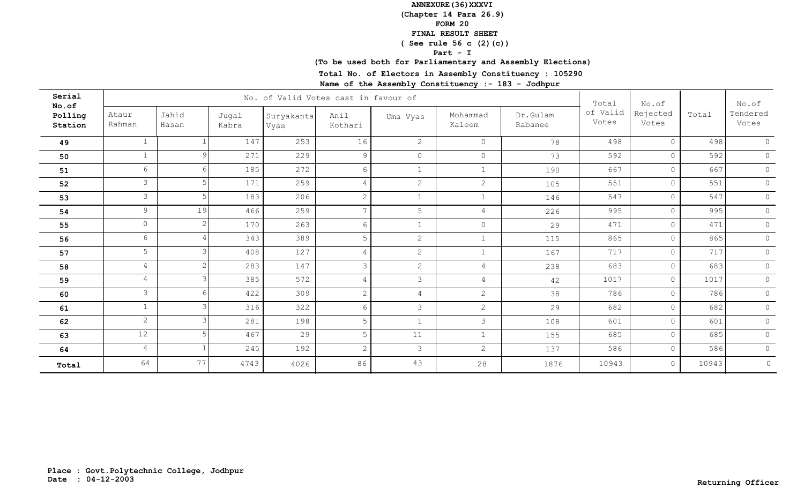### **(Chapter 14 Para 26.9)**

#### **FORM 20**

### **FINAL RESULT SHEET**

# **( See rule 56 c (2)(c))**

**Part - I**

# **(To be used both for Parliamentary and Assembly Elections)**

**Total No. of Electors in Assembly Constituency : 105290**

| Serial<br>No.of    |                 |                |                |                    | No. of Valid Votes cast in favour of |                |                    |                     | Total             | No.of             |       | No.of               |
|--------------------|-----------------|----------------|----------------|--------------------|--------------------------------------|----------------|--------------------|---------------------|-------------------|-------------------|-------|---------------------|
| Polling<br>Station | Ataur<br>Rahman | Jahid<br>Hasan | Jugal<br>Kabra | Suryakanta<br>Vyas | Anil<br>Kothari                      | Uma Vyas       | Mohammad<br>Kaleem | Dr.Gulam<br>Rabanee | of Valid<br>Votes | Rejected<br>Votes | Total | Tendered<br>Votes   |
| 49                 |                 |                | 147            | 253                | 16                                   | $\overline{2}$ | $\circ$            | 78                  | 498               | $\circ$           | 498   | $\circ$             |
| 50                 |                 | $\Omega$       | 271            | 229                | 9                                    | $\circ$        | $\circ$            | 73                  | 592               | $\circ$           | 592   | $\circ$             |
| 51                 | 6 <sup>1</sup>  |                | 185            | 272                | 6                                    | 1              | $\mathbf{1}$       | 190                 | 667               | $\circ$           | 667   | $\circ$             |
| 52                 | $\mathcal{S}$   |                | 171            | 259                | 4                                    | $\overline{2}$ | $\mathbf{2}$       | 105                 | 551               | $\circ$           | 551   | $\circ$             |
| 53                 | $\mathcal{S}$   |                | 183            | 206                | $\overline{2}$                       | $\mathbf{1}$   | $\mathbf{1}$       | 146                 | 547               | $\circledcirc$    | 547   | $\circ$             |
| 54                 | 9               | 19             | 466            | 259                | $7\overline{ }$                      | 5              | 4                  | 226                 | 995               | $\circ$           | 995   | $\mathbb O$         |
| 55                 | $\circ$         | 2              | 170            | 263                | 6                                    | $\mathbf{1}$   | $\circ$            | 29                  | 471               | $\circ$           | 471   | $\circledcirc$      |
| 56                 | 6               |                | 343            | 389                | 5                                    | $\overline{2}$ | $\mathbf{1}$       | 115                 | 865               | $\circ$           | 865   | $\circledcirc$      |
| 57                 | 5 <sup>5</sup>  |                | 408            | 127                | $\overline{4}$                       | $\overline{2}$ | $\mathbf 1$        | 167                 | 717               | $\circ$           | 717   | $\circ$             |
| 58                 | $\overline{4}$  |                | 283            | 147                | 3                                    | $\overline{2}$ | $\overline{4}$     | 238                 | 683               | $\circ$           | 683   | $\mathsf{O}\xspace$ |
| 59                 | 4               |                | 385            | 572                | $\overline{4}$                       | $\mathcal{S}$  | $\overline{4}$     | 42                  | 1017              | $\circ$           | 1017  | $\circ$             |
| 60                 | $\mathcal{S}$   |                | 422            | 309                | 2                                    | $\overline{4}$ | $\overline{2}$     | 38                  | 786               | $\overline{0}$    | 786   | $\circledcirc$      |
| 61                 | $\mathbf{1}$    |                | 316            | 322                | 6                                    | $\mathcal{S}$  | $\overline{2}$     | 29                  | 682               | $\circ$           | 682   | $\circ$             |
| 62                 | $\overline{2}$  |                | 281            | 198                | 5                                    | 1              | 3                  | 108                 | 601               | $\circ$           | 601   | $\circ$             |
| 63                 | 12              |                | 467            | 29                 | 5                                    | 11             | $\mathbf{1}$       | 155                 | 685               | $\overline{0}$    | 685   | $\circ$             |
| 64                 | $4\overline{ }$ |                | 245            | 192                | 2                                    | $\mathcal{S}$  | $\overline{2}$     | 137                 | 586               | $\circ$           | 586   | $\circ$             |
| Total              | 64              | 77             | 4743           | 4026               | 86                                   | 43             | 28                 | 1876                | 10943             | $\circ$           | 10943 | $\circledcirc$      |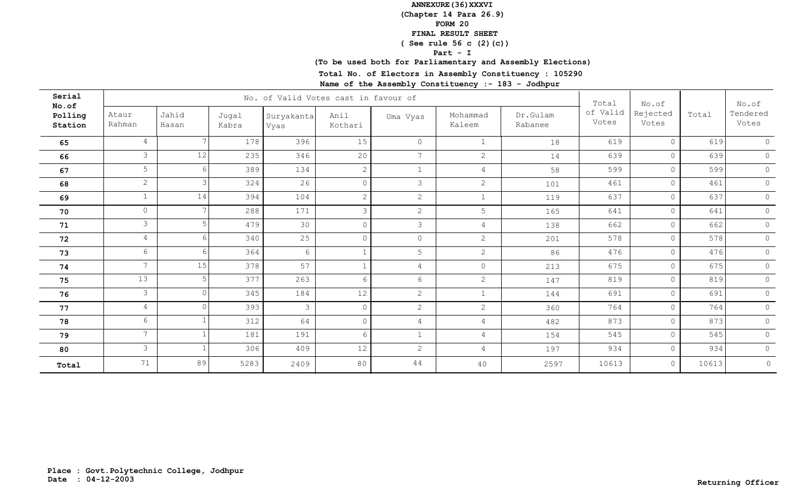### **(Chapter 14 Para 26.9)**

**FORM 20**

### **FINAL RESULT SHEET**

# **( See rule 56 c (2)(c))**

**Part - I**

# **(To be used both for Parliamentary and Assembly Elections)**

**Total No. of Electors in Assembly Constituency : 105290**

| Serial<br>No.of    |                 |                |                | No. of Valid Votes cast in favour of |                 |                 |                    |                     | Total             | No.of<br>Rejected<br>Votes | Total | No.of             |
|--------------------|-----------------|----------------|----------------|--------------------------------------|-----------------|-----------------|--------------------|---------------------|-------------------|----------------------------|-------|-------------------|
| Polling<br>Station | Ataur<br>Rahman | Jahid<br>Hasan | Jugal<br>Kabra | Suryakanta<br>Vyas                   | Anil<br>Kothari | Uma Vyas        | Mohammad<br>Kaleem | Dr.Gulam<br>Rabanee | of Valid<br>Votes |                            |       | Tendered<br>Votes |
| 65                 | 4               |                | 178            | 396                                  | 15              | $\circ$         | $\mathbf{1}$       | 18                  | 619               | $\circ$                    | 619   | $\Omega$          |
| 66                 | $\mathcal{S}$   | 12             | 235            | 346                                  | 20              | 7               | $\overline{2}$     | 14                  | 639               | $\circ$                    | 639   | $\circ$           |
| 67                 | 5 <sup>1</sup>  |                | 389            | 134                                  | $\mathbf{2}$    | $\mathbf{1}$    | 4                  | 58                  | 599               | $\circ$                    | 599   | $\circ$           |
| 68                 | $\overline{2}$  |                | 324            | 26                                   | $\overline{0}$  | $\mathcal{S}$   | $\overline{2}$     | 101                 | 461               | $\circ$                    | 461   | $\circ$           |
| 69                 | $\mathbf{1}$    | 14             | 394            | 104                                  | $\overline{2}$  | $\sqrt{2}$      | $\mathbf{1}$       | 119                 | 637               | $\circ$                    | 637   | $\circledcirc$    |
| 70                 | $\circ$         |                | 288            | 171                                  | $\mathcal{E}$   | 2               | 5                  | 165                 | 641               | $\circ$                    | 641   | $\circ$           |
| 71                 | $\mathcal{S}$   |                | 479            | 30                                   | $\Omega$        | $\mathcal{S}$   | $\overline{4}$     | 138                 | 662               | $\circ$                    | 662   | $\circ$           |
| 72                 | $4\overline{ }$ |                | 340            | 25                                   | $\overline{0}$  | $\circ$         | 2                  | 201                 | 578               | $\circ$                    | 578   | $\circ$           |
| 73                 | 6               |                | 364            | 6                                    |                 | 5               | $\mathbf{2}$       | 86                  | 476               | $\circ$                    | 476   | $\circ$           |
| 74                 | $\overline{7}$  | $15$           | 378            | 57                                   |                 | $\overline{4}$  | $\circ$            | 213                 | 675               | $\circ$                    | 675   | $\circledcirc$    |
| 75                 | 13              |                | 377            | 263                                  | 6               | $6\overline{6}$ | $\mathbf{2}$       | 147                 | 819               | $\circ$                    | 819   | $\circ$           |
| 76                 | $\mathcal{S}$   |                | 345            | 184                                  | 12              | 2               | $\mathbf{1}$       | 144                 | 691               | $\circ$                    | 691   | $\circ$           |
| 77                 | $\overline{4}$  |                | 393            | $\mathcal{S}$                        | $\circ$         | $\overline{c}$  | $\overline{2}$     | 360                 | 764               | $\circ$                    | 764   | $\circ$           |
| 78                 | 6               |                | 312            | 64                                   | $\circ$         | 4               | $\overline{4}$     | 482                 | 873               | $\circ$                    | 873   | $\circ$           |
| 79                 | $7^{\circ}$     |                | 181            | 191                                  | 6               | $\mathbf{1}$    | $\overline{4}$     | 154                 | 545               | $\circ$                    | 545   | $\circ$           |
| 80                 | $\mathcal{S}$   |                | 306            | 409                                  | 12              | 2               | $\overline{4}$     | 197                 | 934               | $\circ$                    | 934   | $\circ$           |
| Total              | 71              | 89             | 5283           | 2409                                 | 80              | 44              | 40                 | 2597                | 10613             | $\circ$                    | 10613 | $\circ$           |